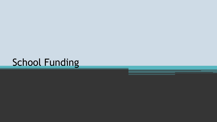# School Funding

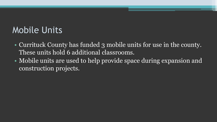### Mobile Units

- Currituck County has funded 3 mobile units for use in the county. These units hold 6 additional classrooms.
- Mobile units are used to help provide space during expansion and construction projects.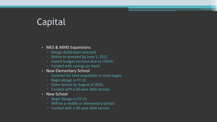# Capital

#### • MES & MMS Expansions

- Design Build team selected
- Notice to proceed by June 1, 2021
- Expect budget increase due to COVID.
- Funded with savings on hand.
- New Elementary School
	- Contract for land acquisition in final stages.
	- Begin design in FY 22
	- Open School by August of 2025.
	- Funded with a 20-year debt service.
- New School
	- Begin Design in FY 23
	- Will be a middle or elementary school.
	- Funded with a 20-year debt service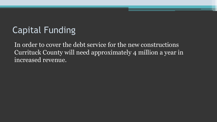# Capital Funding

In order to cover the debt service for the new constructions Currituck County will need approximately 4 million a year in increased revenue.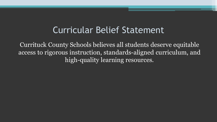#### Curricular Belief Statement

Currituck County Schools believes all students deserve equitable access to rigorous instruction, standards-aligned curriculum, and high-quality learning resources.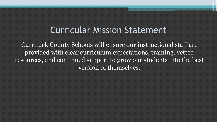#### Curricular Mission Statement

Currituck County Schools will ensure our instructional staff are provided with clear curriculum expectations, training, vetted resources, and continued support to grow our students into the best version of themselves.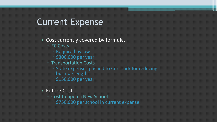### Current Expense

• Cost currently covered by formula.

- EC Costs
	- Required by law
	- $\cdot$  \$300,000 per year
- Transportation Costs
	- State expenses pushed to Currituck for reducing
		- bus ride length
	- $\cdot$  \$150,000 per year

#### • Future Cost

- Cost to open a New School
	- . \$750,000 per school in current expense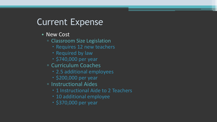# Current Expense

#### • New Cost

- Classroom Size Legislation
	- Requires 12 new teachers
	- Required by law
	- \$740,000 per year
- Curriculum Coaches
	- 2.5 additional employees
	- \$200,000 per year
- Instructional Aides
	- 1 Instructional Aide to 2 Teachers
	- 10 additional employee
	- \$370,000 per year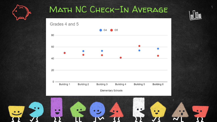

#### MATH NC CHECK-IN AVERAGE